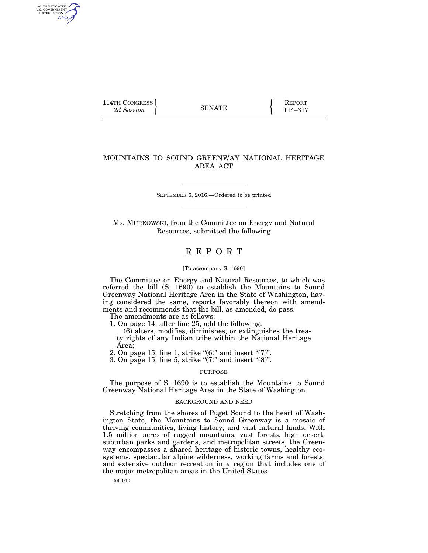114TH CONGRESS **REPORT** 2d Session **114–317** 

AUTHENTICATED U.S. GOVERNMENT GPO

## MOUNTAINS TO SOUND GREENWAY NATIONAL HERITAGE AREA ACT

SEPTEMBER 6, 2016.—Ordered to be printed

Ms. MURKOWSKI, from the Committee on Energy and Natural Resources, submitted the following

### R E P O R T

#### [To accompany S. 1690]

The Committee on Energy and Natural Resources, to which was referred the bill  $(S. 1690)$  to establish the Mountains to Sound Greenway National Heritage Area in the State of Washington, having considered the same, reports favorably thereon with amendments and recommends that the bill, as amended, do pass.

The amendments are as follows:

1. On page 14, after line 25, add the following:

(6) alters, modifies, diminishes, or extinguishes the treaty rights of any Indian tribe within the National Heritage Area;

2. On page 15, line 1, strike " $(6)$ " and insert " $(7)$ ".

3. On page 15, line 5, strike " $(7)$ " and insert " $(8)$ ".

#### PURPOSE

The purpose of S. 1690 is to establish the Mountains to Sound Greenway National Heritage Area in the State of Washington.

#### BACKGROUND AND NEED

Stretching from the shores of Puget Sound to the heart of Washington State, the Mountains to Sound Greenway is a mosaic of thriving communities, living history, and vast natural lands. With 1.5 million acres of rugged mountains, vast forests, high desert, suburban parks and gardens, and metropolitan streets, the Greenway encompasses a shared heritage of historic towns, healthy ecosystems, spectacular alpine wilderness, working farms and forests, and extensive outdoor recreation in a region that includes one of the major metropolitan areas in the United States.

59–010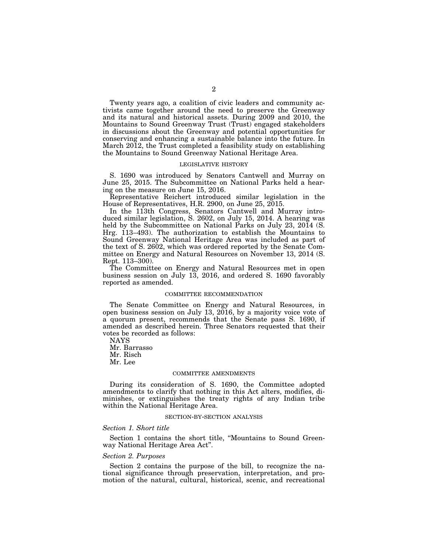Twenty years ago, a coalition of civic leaders and community activists came together around the need to preserve the Greenway and its natural and historical assets. During 2009 and 2010, the Mountains to Sound Greenway Trust (Trust) engaged stakeholders in discussions about the Greenway and potential opportunities for conserving and enhancing a sustainable balance into the future. In March 2012, the Trust completed a feasibility study on establishing the Mountains to Sound Greenway National Heritage Area.

#### LEGISLATIVE HISTORY

S. 1690 was introduced by Senators Cantwell and Murray on June 25, 2015. The Subcommittee on National Parks held a hearing on the measure on June 15, 2016.

Representative Reichert introduced similar legislation in the House of Representatives, H.R. 2900, on June 25, 2015.

In the 113th Congress, Senators Cantwell and Murray introduced similar legislation, S. 2602, on July 15, 2014. A hearing was held by the Subcommittee on National Parks on July 23, 2014 (S. Hrg. 113–493). The authorization to establish the Mountains to Sound Greenway National Heritage Area was included as part of the text of S. 2602, which was ordered reported by the Senate Committee on Energy and Natural Resources on November 13, 2014 (S. Rept. 113–300).

The Committee on Energy and Natural Resources met in open business session on July 13, 2016, and ordered S. 1690 favorably reported as amended.

#### COMMITTEE RECOMMENDATION

The Senate Committee on Energy and Natural Resources, in open business session on July 13, 2016, by a majority voice vote of a quorum present, recommends that the Senate pass S. 1690, if amended as described herein. Three Senators requested that their votes be recorded as follows:

NAYS

Mr. Barrasso Mr. Risch

Mr. Lee

#### COMMITTEE AMENDMENTS

During its consideration of S. 1690, the Committee adopted amendments to clarify that nothing in this Act alters, modifies, diminishes, or extinguishes the treaty rights of any Indian tribe within the National Heritage Area.

#### SECTION-BY-SECTION ANALYSIS

#### *Section 1. Short title*

Section 1 contains the short title, ''Mountains to Sound Greenway National Heritage Area Act''.

#### *Section 2. Purposes*

Section 2 contains the purpose of the bill, to recognize the national significance through preservation, interpretation, and promotion of the natural, cultural, historical, scenic, and recreational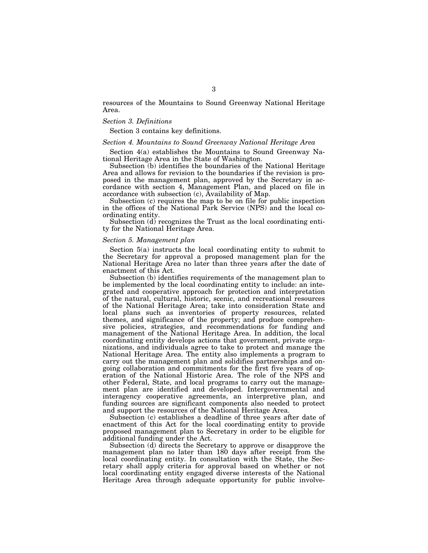resources of the Mountains to Sound Greenway National Heritage Area.

#### *Section 3. Definitions*

Section 3 contains key definitions.

#### *Section 4. Mountains to Sound Greenway National Heritage Area*

Section 4(a) establishes the Mountains to Sound Greenway National Heritage Area in the State of Washington.

Subsection (b) identifies the boundaries of the National Heritage Area and allows for revision to the boundaries if the revision is proposed in the management plan, approved by the Secretary in accordance with section 4, Management Plan, and placed on file in accordance with subsection (c), Availability of Map.

Subsection (c) requires the map to be on file for public inspection in the offices of the National Park Service (NPS) and the local coordinating entity.

Subsection (d) recognizes the Trust as the local coordinating entity for the National Heritage Area.

#### *Section 5. Management plan*

Section 5(a) instructs the local coordinating entity to submit to the Secretary for approval a proposed management plan for the National Heritage Area no later than three years after the date of enactment of this Act.

Subsection (b) identifies requirements of the management plan to be implemented by the local coordinating entity to include: an integrated and cooperative approach for protection and interpretation of the natural, cultural, historic, scenic, and recreational resources of the National Heritage Area; take into consideration State and local plans such as inventories of property resources, related themes, and significance of the property; and produce comprehensive policies, strategies, and recommendations for funding and management of the National Heritage Area. In addition, the local coordinating entity develops actions that government, private organizations, and individuals agree to take to protect and manage the National Heritage Area. The entity also implements a program to carry out the management plan and solidifies partnerships and ongoing collaboration and commitments for the first five years of operation of the National Historic Area. The role of the NPS and other Federal, State, and local programs to carry out the management plan are identified and developed. Intergovernmental and interagency cooperative agreements, an interpretive plan, and funding sources are significant components also needed to protect and support the resources of the National Heritage Area.

Subsection (c) establishes a deadline of three years after date of enactment of this Act for the local coordinating entity to provide proposed management plan to Secretary in order to be eligible for additional funding under the Act.

Subsection (d) directs the Secretary to approve or disapprove the management plan no later than 180 days after receipt from the local coordinating entity. In consultation with the State, the Secretary shall apply criteria for approval based on whether or not local coordinating entity engaged diverse interests of the National Heritage Area through adequate opportunity for public involve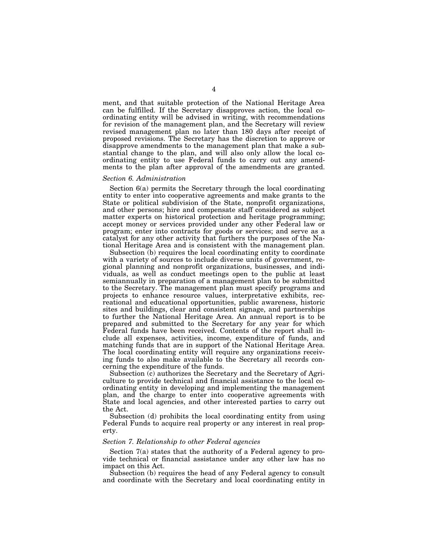ment, and that suitable protection of the National Heritage Area can be fulfilled. If the Secretary disapproves action, the local coordinating entity will be advised in writing, with recommendations for revision of the management plan, and the Secretary will review revised management plan no later than 180 days after receipt of proposed revisions. The Secretary has the discretion to approve or disapprove amendments to the management plan that make a substantial change to the plan, and will also only allow the local coordinating entity to use Federal funds to carry out any amendments to the plan after approval of the amendments are granted.

#### *Section 6. Administration*

Section 6(a) permits the Secretary through the local coordinating entity to enter into cooperative agreements and make grants to the State or political subdivision of the State, nonprofit organizations, and other persons; hire and compensate staff considered as subject matter experts on historical protection and heritage programming; accept money or services provided under any other Federal law or program; enter into contracts for goods or services; and serve as a catalyst for any other activity that furthers the purposes of the National Heritage Area and is consistent with the management plan.

Subsection (b) requires the local coordinating entity to coordinate with a variety of sources to include diverse units of government, regional planning and nonprofit organizations, businesses, and individuals, as well as conduct meetings open to the public at least semiannually in preparation of a management plan to be submitted to the Secretary. The management plan must specify programs and projects to enhance resource values, interpretative exhibits, recreational and educational opportunities, public awareness, historic sites and buildings, clear and consistent signage, and partnerships to further the National Heritage Area. An annual report is to be prepared and submitted to the Secretary for any year for which Federal funds have been received. Contents of the report shall include all expenses, activities, income, expenditure of funds, and matching funds that are in support of the National Heritage Area. The local coordinating entity will require any organizations receiving funds to also make available to the Secretary all records concerning the expenditure of the funds.

Subsection (c) authorizes the Secretary and the Secretary of Agriculture to provide technical and financial assistance to the local coordinating entity in developing and implementing the management plan, and the charge to enter into cooperative agreements with State and local agencies, and other interested parties to carry out the Act.

Subsection (d) prohibits the local coordinating entity from using Federal Funds to acquire real property or any interest in real property.

#### *Section 7. Relationship to other Federal agencies*

Section 7(a) states that the authority of a Federal agency to provide technical or financial assistance under any other law has no impact on this Act.

Subsection (b) requires the head of any Federal agency to consult and coordinate with the Secretary and local coordinating entity in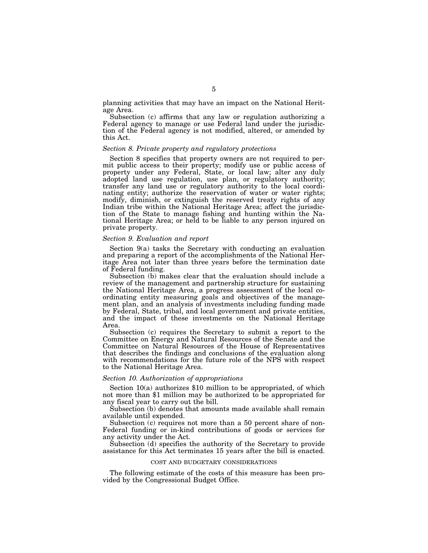planning activities that may have an impact on the National Heritage Area.

Subsection (c) affirms that any law or regulation authorizing a Federal agency to manage or use Federal land under the jurisdiction of the Federal agency is not modified, altered, or amended by this Act.

#### *Section 8. Private property and regulatory protections*

Section 8 specifies that property owners are not required to permit public access to their property; modify use or public access of property under any Federal, State, or local law; alter any duly adopted land use regulation, use plan, or regulatory authority; transfer any land use or regulatory authority to the local coordinating entity; authorize the reservation of water or water rights; modify, diminish, or extinguish the reserved treaty rights of any Indian tribe within the National Heritage Area; affect the jurisdiction of the State to manage fishing and hunting within the National Heritage Area; or held to be liable to any person injured on private property.

#### *Section 9. Evaluation and report*

Section 9(a) tasks the Secretary with conducting an evaluation and preparing a report of the accomplishments of the National Heritage Area not later than three years before the termination date of Federal funding.

Subsection (b) makes clear that the evaluation should include a review of the management and partnership structure for sustaining the National Heritage Area, a progress assessment of the local coordinating entity measuring goals and objectives of the management plan, and an analysis of investments including funding made by Federal, State, tribal, and local government and private entities, and the impact of these investments on the National Heritage Area.

Subsection (c) requires the Secretary to submit a report to the Committee on Energy and Natural Resources of the Senate and the Committee on Natural Resources of the House of Representatives that describes the findings and conclusions of the evaluation along with recommendations for the future role of the NPS with respect to the National Heritage Area.

#### *Section 10. Authorization of appropriations*

Section 10(a) authorizes \$10 million to be appropriated, of which not more than \$1 million may be authorized to be appropriated for any fiscal year to carry out the bill.

Subsection (b) denotes that amounts made available shall remain available until expended.

Subsection (c) requires not more than a 50 percent share of non-Federal funding or in-kind contributions of goods or services for any activity under the Act.

Subsection (d) specifies the authority of the Secretary to provide assistance for this Act terminates 15 years after the bill is enacted.

#### COST AND BUDGETARY CONSIDERATIONS

The following estimate of the costs of this measure has been provided by the Congressional Budget Office.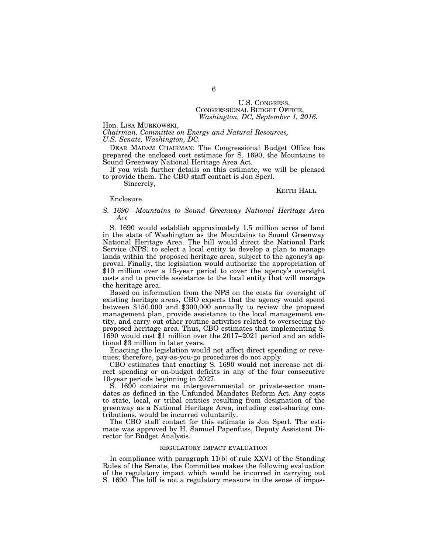# U.S. CONGRESS, CONGRESSIONAL BUDGET OFFICE, *Washington, DC, September 1, 2016.*

Hon. LISA MURKOWSKI,

*Chairman, Committee on Energy and Natural Resources, U.S. Senate, Washington, DC.* 

DEAR MADAM CHAIRMAN: The Congressional Budget Office has prepared the enclosed cost estimate for S. 1690, the Mountains to Sound Greenway National Heritage Area Act.

If you wish further details on this estimate, we will be pleased to provide them. The CBO staff contact is Jon Sperl.

Sincerely,

#### KEITH HALL.

#### Enclosure.

#### *S. 1690—Mountains to Sound Greenway National Heritage Area Act*

S. 1690 would establish approximately 1.5 million acres of land in the state of Washington as the Mountains to Sound Greenway National Heritage Area. The bill would direct the National Park Service (NPS) to select a local entity to develop a plan to manage lands within the proposed heritage area, subject to the agency's approval. Finally, the legislation would authorize the appropriation of \$10 million over a 15-year period to cover the agency's oversight costs and to provide assistance to the local entity that will manage the heritage area.

Based on information from the NPS on the costs for oversight of existing heritage areas, CBO expects that the agency would spend between \$150,000 and \$300,000 annually to review the proposed management plan, provide assistance to the local management entity, and carry out other routine activities related to overseeing the proposed heritage area. Thus, CBO estimates that implementing S. 1690 would cost \$1 million over the 2017–2021 period and an additional \$3 million in later years.

Enacting the legislation would not affect direct spending or revenues; therefore, pay-as-you-go procedures do not apply.

CBO estimates that enacting S. 1690 would not increase net direct spending or on-budget deficits in any of the four consecutive 10-year periods beginning in 2027.

S. 1690 contains no intergovernmental or private-sector mandates as defined in the Unfunded Mandates Reform Act. Any costs to state, local, or tribal entities resulting from designation of the greenway as a National Heritage Area, including cost-sharing contributions, would be incurred voluntarily.

The CBO staff contact for this estimate is Jon Sperl. The estimate was approved by H. Samuel Papenfuss, Deputy Assistant Director for Budget Analysis.

#### REGULATORY IMPACT EVALUATION

In compliance with paragraph 11(b) of rule XXVI of the Standing Rules of the Senate, the Committee makes the following evaluation of the regulatory impact which would be incurred in carrying out S. 1690. The bill is not a regulatory measure in the sense of impos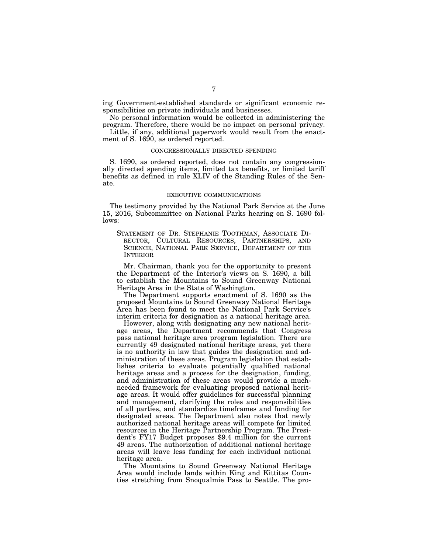ing Government-established standards or significant economic responsibilities on private individuals and businesses.

No personal information would be collected in administering the program. Therefore, there would be no impact on personal privacy.

Little, if any, additional paperwork would result from the enactment of S. 1690, as ordered reported.

#### CONGRESSIONALLY DIRECTED SPENDING

S. 1690, as ordered reported, does not contain any congressionally directed spending items, limited tax benefits, or limited tariff benefits as defined in rule XLIV of the Standing Rules of the Senate.

#### EXECUTIVE COMMUNICATIONS

The testimony provided by the National Park Service at the June 15, 2016, Subcommittee on National Parks hearing on S. 1690 follows:

STATEMENT OF DR. STEPHANIE TOOTHMAN, ASSOCIATE DI-RECTOR, CULTURAL RESOURCES, PARTNERSHIPS, AND SCIENCE, NATIONAL PARK SERVICE, DEPARTMENT OF THE INTERIOR

Mr. Chairman, thank you for the opportunity to present the Department of the Interior's views on S. 1690, a bill to establish the Mountains to Sound Greenway National Heritage Area in the State of Washington.

The Department supports enactment of S. 1690 as the proposed Mountains to Sound Greenway National Heritage Area has been found to meet the National Park Service's interim criteria for designation as a national heritage area.

However, along with designating any new national heritage areas, the Department recommends that Congress pass national heritage area program legislation. There are currently 49 designated national heritage areas, yet there is no authority in law that guides the designation and administration of these areas. Program legislation that establishes criteria to evaluate potentially qualified national heritage areas and a process for the designation, funding, and administration of these areas would provide a muchneeded framework for evaluating proposed national heritage areas. It would offer guidelines for successful planning and management, clarifying the roles and responsibilities of all parties, and standardize timeframes and funding for designated areas. The Department also notes that newly authorized national heritage areas will compete for limited resources in the Heritage Partnership Program. The President's FY17 Budget proposes \$9.4 million for the current 49 areas. The authorization of additional national heritage areas will leave less funding for each individual national heritage area.

The Mountains to Sound Greenway National Heritage Area would include lands within King and Kittitas Counties stretching from Snoqualmie Pass to Seattle. The pro-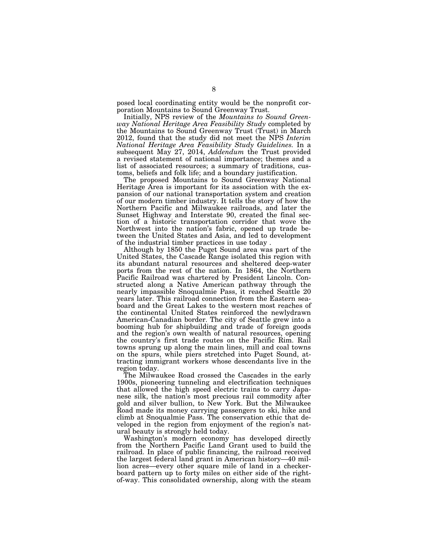posed local coordinating entity would be the nonprofit corporation Mountains to Sound Greenway Trust.

Initially, NPS review of the *Mountains to Sound Greenway National Heritage Area Feasibility Study* completed by the Mountains to Sound Greenway Trust (Trust) in March 2012, found that the study did not meet the NPS *Interim National Heritage Area Feasibility Study Guidelines.* In a subsequent May 27, 2014, *Addendum* the Trust provided a revised statement of national importance; themes and a list of associated resources; a summary of traditions, customs, beliefs and folk life; and a boundary justification.

The proposed Mountains to Sound Greenway National Heritage Area is important for its association with the expansion of our national transportation system and creation of our modern timber industry. It tells the story of how the Northern Pacific and Milwaukee railroads, and later the Sunset Highway and Interstate 90, created the final section of a historic transportation corridor that wove the Northwest into the nation's fabric, opened up trade between the United States and Asia, and led to development of the industrial timber practices in use today .

Although by 1850 the Puget Sound area was part of the United States, the Cascade Range isolated this region with its abundant natural resources and sheltered deep-water ports from the rest of the nation. In 1864, the Northern Pacific Railroad was chartered by President Lincoln. Constructed along a Native American pathway through the nearly impassible Snoqualmie Pass, it reached Seattle 20 years later. This railroad connection from the Eastern seaboard and the Great Lakes to the western most reaches of the continental United States reinforced the newlydrawn American-Canadian border. The city of Seattle grew into a booming hub for shipbuilding and trade of foreign goods and the region's own wealth of natural resources, opening the country's first trade routes on the Pacific Rim. Rail towns sprung up along the main lines, mill and coal towns on the spurs, while piers stretched into Puget Sound, attracting immigrant workers whose descendants live in the region today.

The Milwaukee Road crossed the Cascades in the early 1900s, pioneering tunneling and electrification techniques that allowed the high speed electric trains to carry Japanese silk, the nation's most precious rail commodity after gold and silver bullion, to New York. But the Milwaukee Road made its money carrying passengers to ski, hike and climb at Snoqualmie Pass. The conservation ethic that developed in the region from enjoyment of the region's natural beauty is strongly held today.

Washington's modern economy has developed directly from the Northern Pacific Land Grant used to build the railroad. In place of public financing, the railroad received the largest federal land grant in American history—40 million acres—every other square mile of land in a checkerboard pattern up to forty miles on either side of the rightof-way. This consolidated ownership, along with the steam